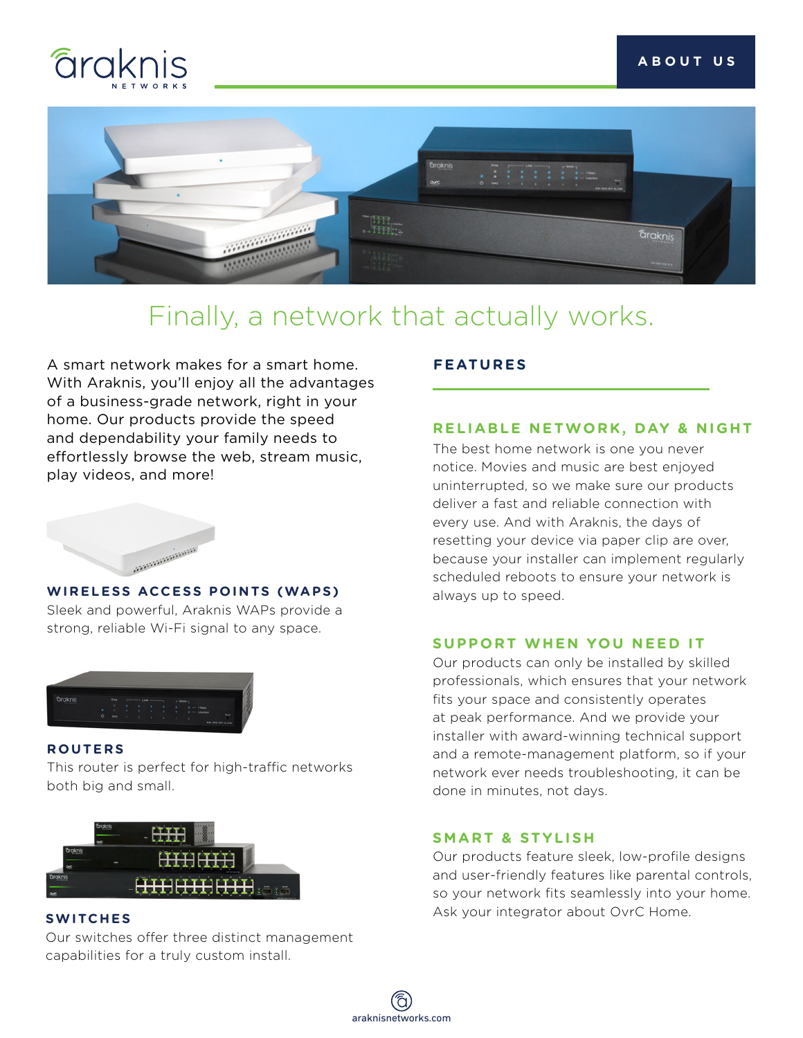



## Finally, a network that actually works.

A smart network makes for a smart home. With Araknis, you'll enjoy all the advantages of a business-grade network, right in your home. Our products provide the speed and dependability your family needs to effortlessly browse the web, stream music, play videos, and more!



#### **WIRELESS ACCESS POINTS (WAPS)**

Sleek and powerful, Araknis WAPs provide a strong, reliable Wi-Fi signal to any space.



#### **ROUTERS**

This router is perfect for high-traffic networks both big and small.



#### **SWITCHES**

Our switches offer three distinct management capabilities for a truly custom install.

### **FEATURES**

#### **RELIABLE NETWORK, DAY & NIGHT**

The best home network is one you never notice. Movies and music are best enjoyed uninterrupted, so we make sure our products deliver a fast and reliable connection with every use. And with Araknis, the days of resetting your device via paper clip are over, because your installer can implement regularly scheduled reboots to ensure your network is always up to speed.

#### **SUPPORT WHEN YOU NEED IT**

Our products can only be installed by skilled professionals, which ensures that your network fits your space and consistently operates at peak performance. And we provide your installer with award-winning technical support and a remote-management platform, so if your network ever needs troubleshooting, it can be done in minutes, not days.

#### **SMART & STYLISH**

Our products feature sleek, low-profile designs and user-friendly features like parental controls, so your network fits seamlessly into your home. Ask your integrator about OvrC Home.